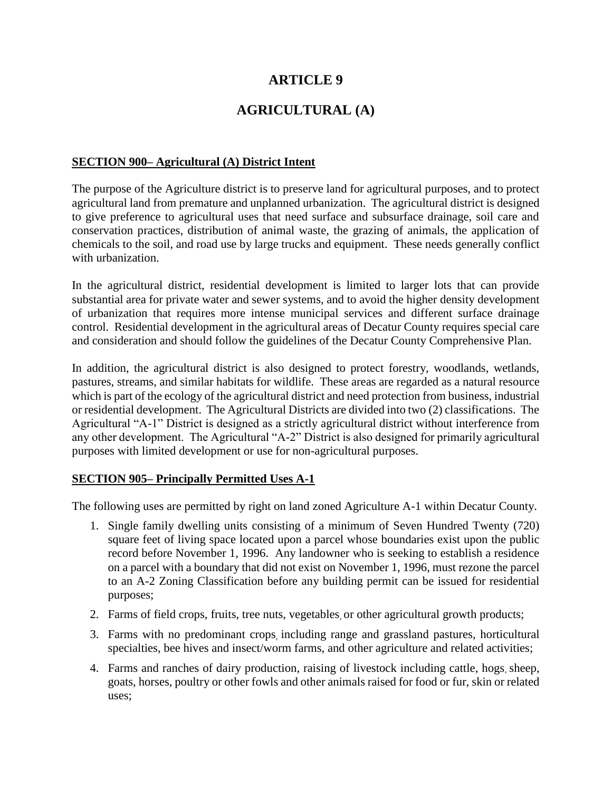# **ARTICLE 9**

# **AGRICULTURAL (A)**

### **SECTION 900– Agricultural (A) District Intent**

The purpose of the Agriculture district is to preserve land for agricultural purposes, and to protect agricultural land from premature and unplanned urbanization. The agricultural district is designed to give preference to agricultural uses that need surface and subsurface drainage, soil care and conservation practices, distribution of animal waste, the grazing of animals, the application of chemicals to the soil, and road use by large trucks and equipment. These needs generally conflict with urbanization.

In the agricultural district, residential development is limited to larger lots that can provide substantial area for private water and sewer systems, and to avoid the higher density development of urbanization that requires more intense municipal services and different surface drainage control. Residential development in the agricultural areas of Decatur County requires special care and consideration and should follow the guidelines of the Decatur County Comprehensive Plan.

In addition, the agricultural district is also designed to protect forestry, woodlands, wetlands, pastures, streams, and similar habitats for wildlife. These areas are regarded as a natural resource which is part of the ecology of the agricultural district and need protection from business, industrial or residential development. The Agricultural Districts are divided into two (2) classifications. The Agricultural "A-1" District is designed as a strictly agricultural district without interference from any other development. The Agricultural "A-2" District is also designed for primarily agricultural purposes with limited development or use for non-agricultural purposes.

#### **SECTION 905– Principally Permitted Uses A-1**

The following uses are permitted by right on land zoned Agriculture A-1 within Decatur County.

- 1. Single family dwelling units consisting of a minimum of Seven Hundred Twenty (720) square feet of living space located upon a parcel whose boundaries exist upon the public record before November 1, 1996. Any landowner who is seeking to establish a residence on a parcel with a boundary that did not exist on November 1, 1996, must rezone the parcel to an A-2 Zoning Classification before any building permit can be issued for residential purposes;
- 2. Farms of field crops, fruits, tree nuts, vegetables, or other agricultural growth products;
- 3. Farms with no predominant crops, including range and grassland pastures, horticultural specialties, bee hives and insect/worm farms, and other agriculture and related activities;
- 4. Farms and ranches of dairy production, raising of livestock including cattle, hogs, sheep, goats, horses, poultry or other fowls and other animals raised for food or fur, skin or related uses;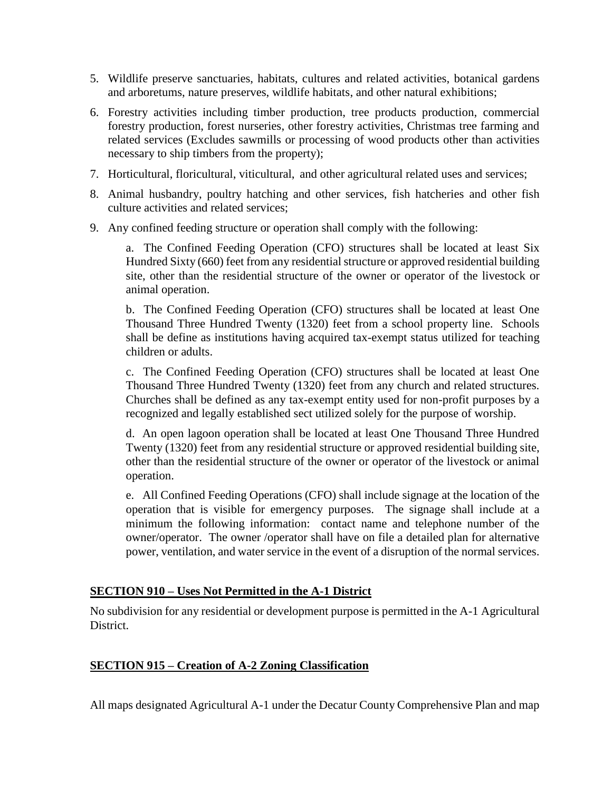- 5. Wildlife preserve sanctuaries, habitats, cultures and related activities, botanical gardens and arboretums, nature preserves, wildlife habitats, and other natural exhibitions;
- 6. Forestry activities including timber production, tree products production, commercial forestry production, forest nurseries, other forestry activities, Christmas tree farming and related services (Excludes sawmills or processing of wood products other than activities necessary to ship timbers from the property);
- 7. Horticultural, floricultural, viticultural, and other agricultural related uses and services;
- 8. Animal husbandry, poultry hatching and other services, fish hatcheries and other fish culture activities and related services;
- 9. Any confined feeding structure or operation shall comply with the following:

a. The Confined Feeding Operation (CFO) structures shall be located at least Six Hundred Sixty (660) feet from any residential structure or approved residential building site, other than the residential structure of the owner or operator of the livestock or animal operation.

b. The Confined Feeding Operation (CFO) structures shall be located at least One Thousand Three Hundred Twenty (1320) feet from a school property line. Schools shall be define as institutions having acquired tax-exempt status utilized for teaching children or adults.

c. The Confined Feeding Operation (CFO) structures shall be located at least One Thousand Three Hundred Twenty (1320) feet from any church and related structures. Churches shall be defined as any tax-exempt entity used for non-profit purposes by a recognized and legally established sect utilized solely for the purpose of worship.

d. An open lagoon operation shall be located at least One Thousand Three Hundred Twenty (1320) feet from any residential structure or approved residential building site, other than the residential structure of the owner or operator of the livestock or animal operation.

e. All Confined Feeding Operations (CFO) shall include signage at the location of the operation that is visible for emergency purposes. The signage shall include at a minimum the following information: contact name and telephone number of the owner/operator. The owner /operator shall have on file a detailed plan for alternative power, ventilation, and water service in the event of a disruption of the normal services.

### **SECTION 910 – Uses Not Permitted in the A-1 District**

No subdivision for any residential or development purpose is permitted in the A-1 Agricultural District.

### **SECTION 915 – Creation of A-2 Zoning Classification**

All maps designated Agricultural A-1 under the Decatur County Comprehensive Plan and map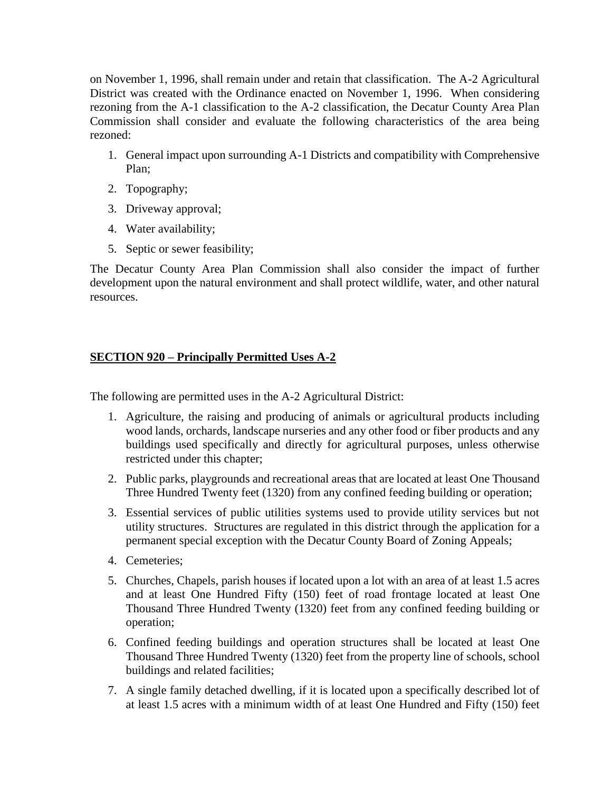on November 1, 1996, shall remain under and retain that classification. The A-2 Agricultural District was created with the Ordinance enacted on November 1, 1996. When considering rezoning from the A-1 classification to the A-2 classification, the Decatur County Area Plan Commission shall consider and evaluate the following characteristics of the area being rezoned:

- 1. General impact upon surrounding A-1 Districts and compatibility with Comprehensive Plan;
- 2. Topography;
- 3. Driveway approval;
- 4. Water availability;
- 5. Septic or sewer feasibility;

The Decatur County Area Plan Commission shall also consider the impact of further development upon the natural environment and shall protect wildlife, water, and other natural resources.

## **SECTION 920 – Principally Permitted Uses A-2**

The following are permitted uses in the A-2 Agricultural District:

- 1. Agriculture, the raising and producing of animals or agricultural products including wood lands, orchards, landscape nurseries and any other food or fiber products and any buildings used specifically and directly for agricultural purposes, unless otherwise restricted under this chapter;
- 2. Public parks, playgrounds and recreational areas that are located at least One Thousand Three Hundred Twenty feet (1320) from any confined feeding building or operation;
- 3. Essential services of public utilities systems used to provide utility services but not utility structures. Structures are regulated in this district through the application for a permanent special exception with the Decatur County Board of Zoning Appeals;
- 4. Cemeteries;
- 5. Churches, Chapels, parish houses if located upon a lot with an area of at least 1.5 acres and at least One Hundred Fifty (150) feet of road frontage located at least One Thousand Three Hundred Twenty (1320) feet from any confined feeding building or operation;
- 6. Confined feeding buildings and operation structures shall be located at least One Thousand Three Hundred Twenty (1320) feet from the property line of schools, school buildings and related facilities;
- 7. A single family detached dwelling, if it is located upon a specifically described lot of at least 1.5 acres with a minimum width of at least One Hundred and Fifty (150) feet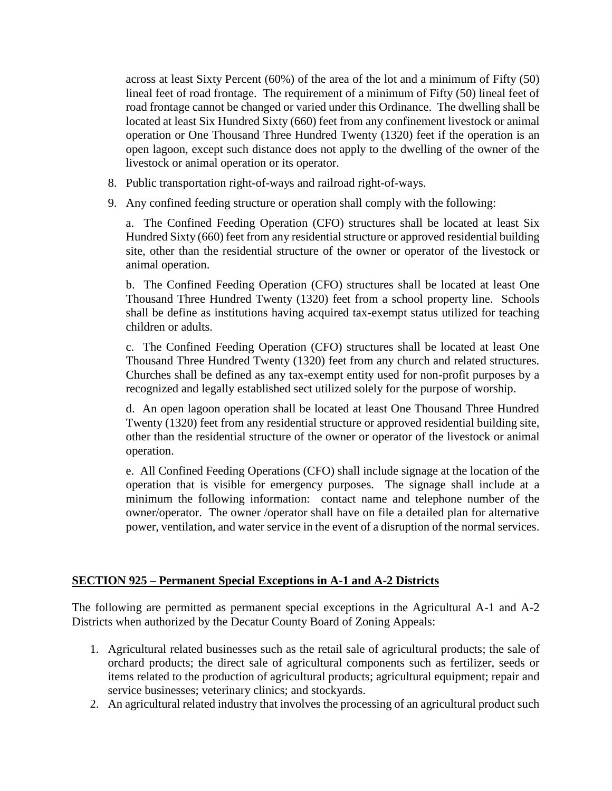across at least Sixty Percent (60%) of the area of the lot and a minimum of Fifty (50) lineal feet of road frontage. The requirement of a minimum of Fifty (50) lineal feet of road frontage cannot be changed or varied under this Ordinance. The dwelling shall be located at least Six Hundred Sixty (660) feet from any confinement livestock or animal operation or One Thousand Three Hundred Twenty (1320) feet if the operation is an open lagoon, except such distance does not apply to the dwelling of the owner of the livestock or animal operation or its operator.

- 8. Public transportation right-of-ways and railroad right-of-ways.
- 9. Any confined feeding structure or operation shall comply with the following:

a. The Confined Feeding Operation (CFO) structures shall be located at least Six Hundred Sixty (660) feet from any residential structure or approved residential building site, other than the residential structure of the owner or operator of the livestock or animal operation.

b. The Confined Feeding Operation (CFO) structures shall be located at least One Thousand Three Hundred Twenty (1320) feet from a school property line. Schools shall be define as institutions having acquired tax-exempt status utilized for teaching children or adults.

c. The Confined Feeding Operation (CFO) structures shall be located at least One Thousand Three Hundred Twenty (1320) feet from any church and related structures. Churches shall be defined as any tax-exempt entity used for non-profit purposes by a recognized and legally established sect utilized solely for the purpose of worship.

d. An open lagoon operation shall be located at least One Thousand Three Hundred Twenty (1320) feet from any residential structure or approved residential building site, other than the residential structure of the owner or operator of the livestock or animal operation.

e. All Confined Feeding Operations (CFO) shall include signage at the location of the operation that is visible for emergency purposes. The signage shall include at a minimum the following information: contact name and telephone number of the owner/operator. The owner /operator shall have on file a detailed plan for alternative power, ventilation, and water service in the event of a disruption of the normal services.

### **SECTION 925 – Permanent Special Exceptions in A-1 and A-2 Districts**

The following are permitted as permanent special exceptions in the Agricultural A-1 and A-2 Districts when authorized by the Decatur County Board of Zoning Appeals:

- 1. Agricultural related businesses such as the retail sale of agricultural products; the sale of orchard products; the direct sale of agricultural components such as fertilizer, seeds or items related to the production of agricultural products; agricultural equipment; repair and service businesses; veterinary clinics; and stockyards.
- 2. An agricultural related industry that involves the processing of an agricultural product such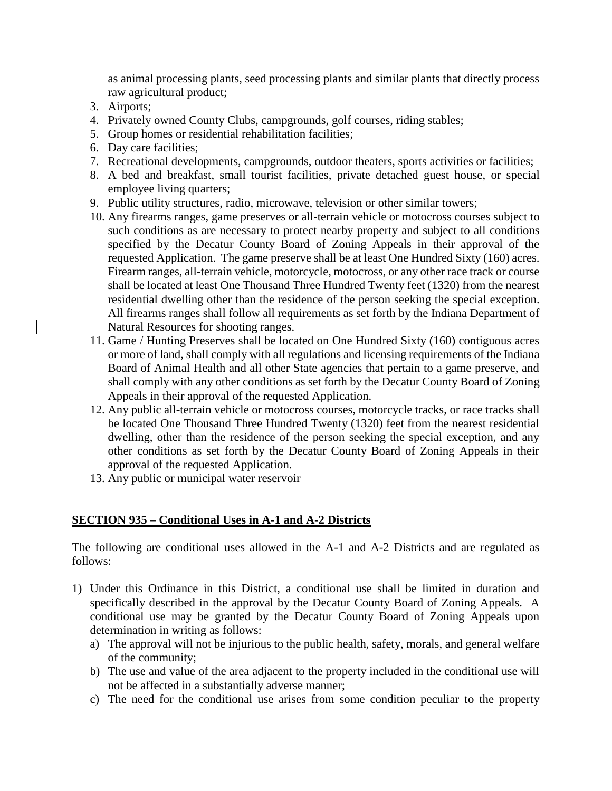as animal processing plants, seed processing plants and similar plants that directly process raw agricultural product;

- 3. Airports;
- 4. Privately owned County Clubs, campgrounds, golf courses, riding stables;
- 5. Group homes or residential rehabilitation facilities;
- 6. Day care facilities;
- 7. Recreational developments, campgrounds, outdoor theaters, sports activities or facilities;
- 8. A bed and breakfast, small tourist facilities, private detached guest house, or special employee living quarters;
- 9. Public utility structures, radio, microwave, television or other similar towers;
- 10. Any firearms ranges, game preserves or all-terrain vehicle or motocross courses subject to such conditions as are necessary to protect nearby property and subject to all conditions specified by the Decatur County Board of Zoning Appeals in their approval of the requested Application. The game preserve shall be at least One Hundred Sixty (160) acres. Firearm ranges, all-terrain vehicle, motorcycle, motocross, or any other race track or course shall be located at least One Thousand Three Hundred Twenty feet (1320) from the nearest residential dwelling other than the residence of the person seeking the special exception. All firearms ranges shall follow all requirements as set forth by the Indiana Department of Natural Resources for shooting ranges.
- 11. Game / Hunting Preserves shall be located on One Hundred Sixty (160) contiguous acres or more of land, shall comply with all regulations and licensing requirements of the Indiana Board of Animal Health and all other State agencies that pertain to a game preserve, and shall comply with any other conditions as set forth by the Decatur County Board of Zoning Appeals in their approval of the requested Application.
- 12. Any public all-terrain vehicle or motocross courses, motorcycle tracks, or race tracks shall be located One Thousand Three Hundred Twenty (1320) feet from the nearest residential dwelling, other than the residence of the person seeking the special exception, and any other conditions as set forth by the Decatur County Board of Zoning Appeals in their approval of the requested Application.
- 13. Any public or municipal water reservoir

#### **SECTION 935 – Conditional Uses in A-1 and A-2 Districts**

The following are conditional uses allowed in the A-1 and A-2 Districts and are regulated as follows:

- 1) Under this Ordinance in this District, a conditional use shall be limited in duration and specifically described in the approval by the Decatur County Board of Zoning Appeals. A conditional use may be granted by the Decatur County Board of Zoning Appeals upon determination in writing as follows:
	- a) The approval will not be injurious to the public health, safety, morals, and general welfare of the community;
	- b) The use and value of the area adjacent to the property included in the conditional use will not be affected in a substantially adverse manner;
	- c) The need for the conditional use arises from some condition peculiar to the property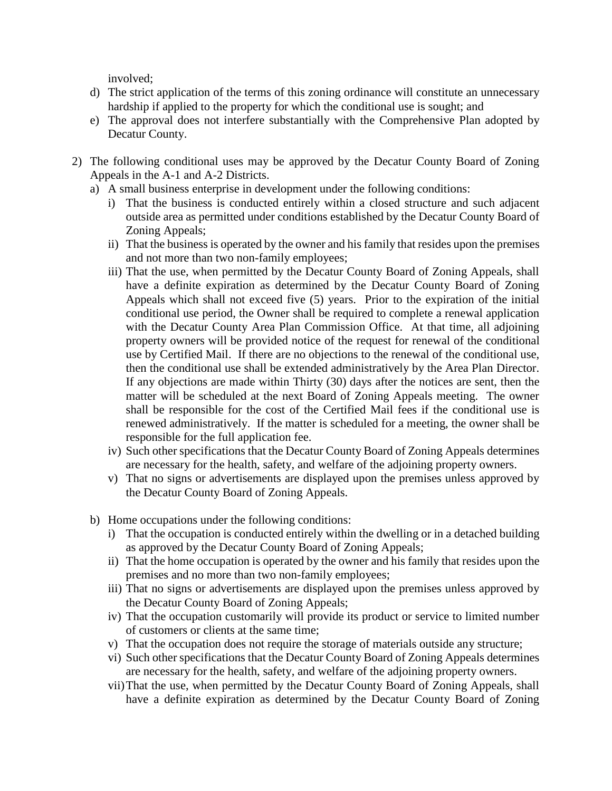involved;

- d) The strict application of the terms of this zoning ordinance will constitute an unnecessary hardship if applied to the property for which the conditional use is sought; and
- e) The approval does not interfere substantially with the Comprehensive Plan adopted by Decatur County.
- 2) The following conditional uses may be approved by the Decatur County Board of Zoning Appeals in the A-1 and A-2 Districts.
	- a) A small business enterprise in development under the following conditions:
		- i) That the business is conducted entirely within a closed structure and such adjacent outside area as permitted under conditions established by the Decatur County Board of Zoning Appeals;
		- ii) That the business is operated by the owner and his family that resides upon the premises and not more than two non-family employees;
		- iii) That the use, when permitted by the Decatur County Board of Zoning Appeals, shall have a definite expiration as determined by the Decatur County Board of Zoning Appeals which shall not exceed five (5) years. Prior to the expiration of the initial conditional use period, the Owner shall be required to complete a renewal application with the Decatur County Area Plan Commission Office. At that time, all adjoining property owners will be provided notice of the request for renewal of the conditional use by Certified Mail. If there are no objections to the renewal of the conditional use, then the conditional use shall be extended administratively by the Area Plan Director. If any objections are made within Thirty (30) days after the notices are sent, then the matter will be scheduled at the next Board of Zoning Appeals meeting. The owner shall be responsible for the cost of the Certified Mail fees if the conditional use is renewed administratively. If the matter is scheduled for a meeting, the owner shall be responsible for the full application fee.
		- iv) Such other specifications that the Decatur County Board of Zoning Appeals determines are necessary for the health, safety, and welfare of the adjoining property owners.
		- v) That no signs or advertisements are displayed upon the premises unless approved by the Decatur County Board of Zoning Appeals.
	- b) Home occupations under the following conditions:
		- i) That the occupation is conducted entirely within the dwelling or in a detached building as approved by the Decatur County Board of Zoning Appeals;
		- ii) That the home occupation is operated by the owner and his family that resides upon the premises and no more than two non-family employees;
		- iii) That no signs or advertisements are displayed upon the premises unless approved by the Decatur County Board of Zoning Appeals;
		- iv) That the occupation customarily will provide its product or service to limited number of customers or clients at the same time;
		- v) That the occupation does not require the storage of materials outside any structure;
		- vi) Such other specifications that the Decatur County Board of Zoning Appeals determines are necessary for the health, safety, and welfare of the adjoining property owners.
		- vii)That the use, when permitted by the Decatur County Board of Zoning Appeals, shall have a definite expiration as determined by the Decatur County Board of Zoning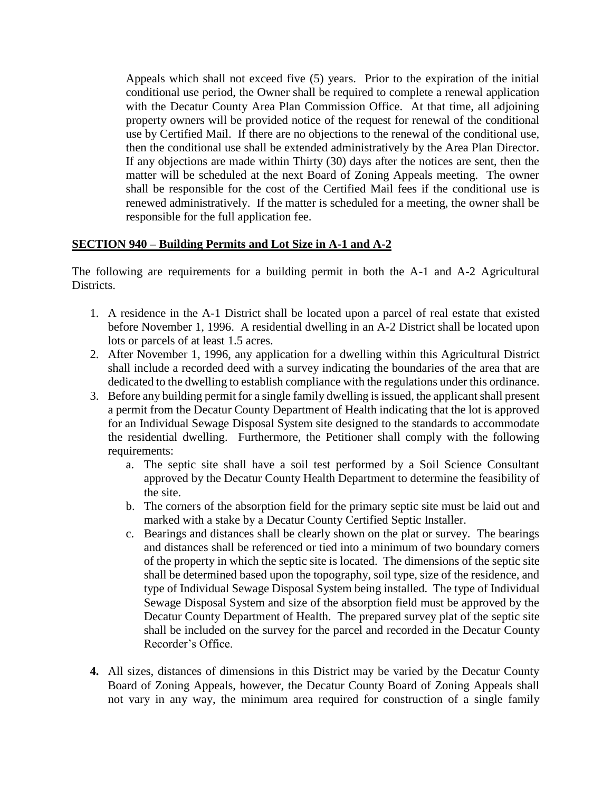Appeals which shall not exceed five (5) years. Prior to the expiration of the initial conditional use period, the Owner shall be required to complete a renewal application with the Decatur County Area Plan Commission Office. At that time, all adjoining property owners will be provided notice of the request for renewal of the conditional use by Certified Mail. If there are no objections to the renewal of the conditional use, then the conditional use shall be extended administratively by the Area Plan Director. If any objections are made within Thirty (30) days after the notices are sent, then the matter will be scheduled at the next Board of Zoning Appeals meeting. The owner shall be responsible for the cost of the Certified Mail fees if the conditional use is renewed administratively. If the matter is scheduled for a meeting, the owner shall be responsible for the full application fee.

### **SECTION 940 – Building Permits and Lot Size in A-1 and A-2**

The following are requirements for a building permit in both the A-1 and A-2 Agricultural Districts.

- 1. A residence in the A-1 District shall be located upon a parcel of real estate that existed before November 1, 1996. A residential dwelling in an A-2 District shall be located upon lots or parcels of at least 1.5 acres.
- 2. After November 1, 1996, any application for a dwelling within this Agricultural District shall include a recorded deed with a survey indicating the boundaries of the area that are dedicated to the dwelling to establish compliance with the regulations under this ordinance.
- 3. Before any building permit for a single family dwelling is issued, the applicant shall present a permit from the Decatur County Department of Health indicating that the lot is approved for an Individual Sewage Disposal System site designed to the standards to accommodate the residential dwelling. Furthermore, the Petitioner shall comply with the following requirements:
	- a. The septic site shall have a soil test performed by a Soil Science Consultant approved by the Decatur County Health Department to determine the feasibility of the site.
	- b. The corners of the absorption field for the primary septic site must be laid out and marked with a stake by a Decatur County Certified Septic Installer.
	- c. Bearings and distances shall be clearly shown on the plat or survey. The bearings and distances shall be referenced or tied into a minimum of two boundary corners of the property in which the septic site is located. The dimensions of the septic site shall be determined based upon the topography, soil type, size of the residence, and type of Individual Sewage Disposal System being installed. The type of Individual Sewage Disposal System and size of the absorption field must be approved by the Decatur County Department of Health. The prepared survey plat of the septic site shall be included on the survey for the parcel and recorded in the Decatur County Recorder's Office.
- **4.** All sizes, distances of dimensions in this District may be varied by the Decatur County Board of Zoning Appeals, however, the Decatur County Board of Zoning Appeals shall not vary in any way, the minimum area required for construction of a single family